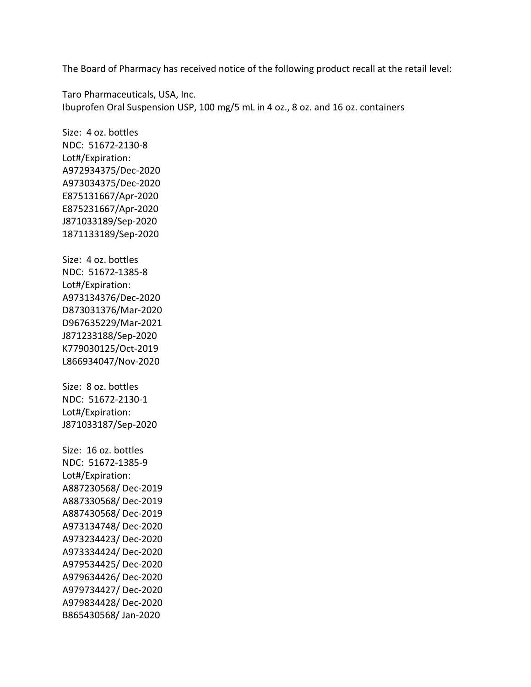The Board of Pharmacy has received notice of the following product recall at the retail level:

 Ibuprofen Oral Suspension USP, 100 mg/5 mL in 4 oz., 8 oz. and 16 oz. containers Taro Pharmaceuticals, USA, Inc.

 Size: 4 oz. bottles NDC: 51672-2130-8 Size: 4 oz. bottles NDC: 51672-1385-8 Size: 8 oz. bottles NDC: 51672-2130-1 NDC: 51672-1385-9 Lot#/Expiration: A972934375/Dec-2020 A973034375/Dec-2020 E875131667/Apr-2020 E875231667/Apr-2020 J871033189/Sep-2020 1871133189/Sep-2020 Lot#/Expiration: A973134376/Dec-2020 D873031376/Mar-2020 D967635229/Mar-2021 J871233188/Sep-2020 K779030125/Oct-2019 L866934047/Nov-2020 Lot#/Expiration: J871033187/Sep-2020 Size: 16 oz. bottles Lot#/Expiration: A887230568/ Dec-2019 A887330568/ Dec-2019 A887430568/ Dec-2019 A973134748/ Dec-2020 A973234423/ Dec-2020 A973334424/ Dec-2020 A979534425/ Dec-2020 A979634426/ Dec-2020 A979734427/ Dec-2020 A979834428/ Dec-2020 B865430568/ Jan-2020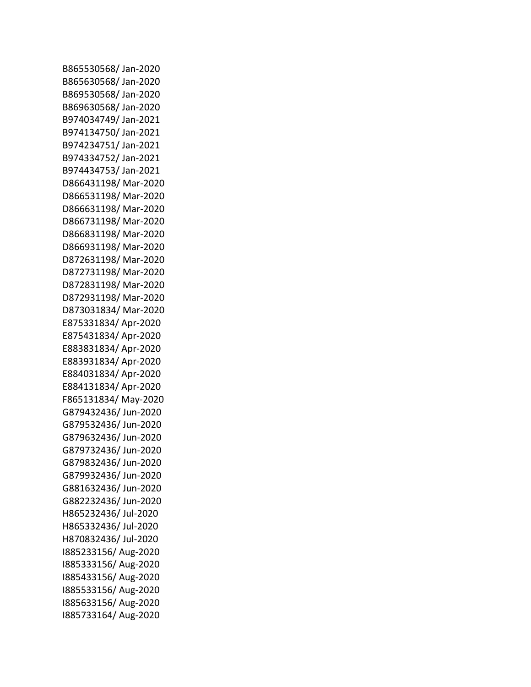B865530568/ Jan-2020 B865630568/ Jan-2020 B869530568/ Jan-2020 B869630568/ Jan-2020 B974034749/ Jan-2021 B974134750/ Jan-2021 B974234751/ Jan-2021 B974334752/ Jan-2021 B974434753/ Jan-2021 D866431198/ Mar-2020 D866531198/ Mar-2020 D866631198/ Mar-2020 D866731198/ Mar-2020 D866831198/ Mar-2020 D866931198/ Mar-2020 D872631198/ Mar-2020 D872731198/ Mar-2020 D872831198/ Mar-2020 D872931198/ Mar-2020 D873031834/ Mar-2020 E875331834/ Apr-2020 E875431834/ Apr-2020 E883831834/ Apr-2020 E883931834/ Apr-2020 E884031834/ Apr-2020 E884131834/ Apr-2020 F865131834/ May-2020 G879432436/ Jun-2020 G879532436/ Jun-2020 G879632436/ Jun-2020 G879732436/ Jun-2020 G879832436/ Jun-2020 G879932436/ Jun-2020 G881632436/ Jun-2020 G882232436/ Jun-2020 H865232436/ Jul-2020 H865332436/ Jul-2020 H870832436/ Jul-2020 I885233156/ Aug-2020 I885333156/ Aug-2020 I885433156/ Aug-2020 I885533156/ Aug-2020 I885633156/ Aug-2020 I885733164/ Aug-2020